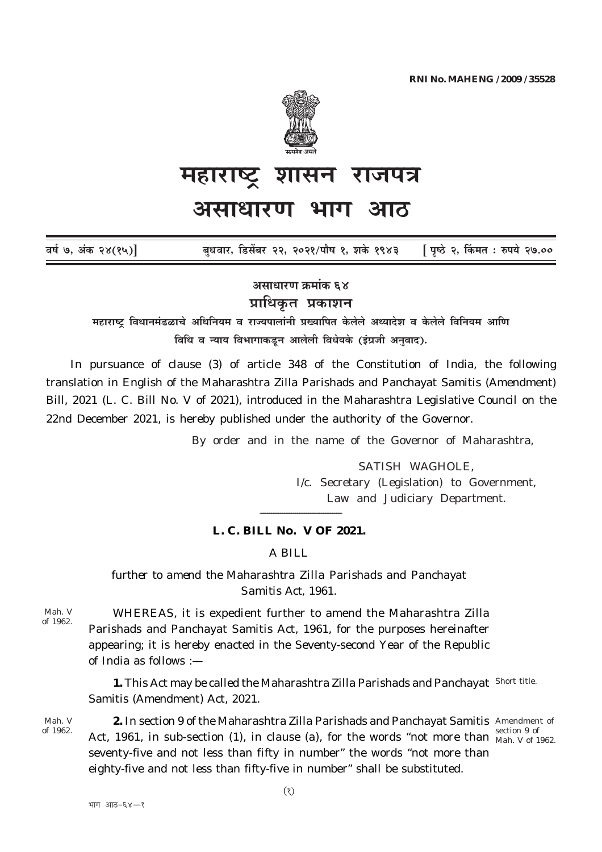

## महाराष्ट्र शासन राजपत्र

## असाधारण भाग आठ

| वर्ष ७, अंक २४(१५)] |  | बुधवार, डिसेंबर २२, २०२१/पौष १, शके १९४३ | <b>[ पृष्ठे २, किंमत : रुपये २७.००</b> |
|---------------------|--|------------------------------------------|----------------------------------------|
|---------------------|--|------------------------------------------|----------------------------------------|

असाधारण क्रमांक ६४ प्राधिकृत प्रकाशन

महाराष्ट्र विधानमंडळाचे अधिनियम व राज्यपालांनी प्रख्यापित केलेले अध्यादेश व केलेले विनियम आणि विधि व न्याय विभागाकडून आलेली विधेयके (इंग्रजी अनुवाद).

In pursuance of clause  $(3)$  of article 348 of the Constitution of India, the following translation in English of the Maharashtra Zilla Parishads and Panchavat Samitis (Amendment) Bill, 2021 (L. C. Bill No. V of 2021), introduced in the Maharashtra Legislative Council on the 22nd December 2021, is hereby published under the authority of the Governor.

By order and in the name of the Governor of Maharashtra,

SATISH WAGHOLE. I/c. Secretary (Legislation) to Government, Law and Judiciary Department.

## L. C. BILL No. V OF 2021.

A BILL

further to amend the Maharashtra Zilla Parishads and Panchayat Samitis Act. 1961.

Mah. V of 1962.

WHEREAS, it is expedient further to amend the Maharashtra Zilla Parishads and Panchayat Samitis Act, 1961, for the purposes hereinafter appearing; it is hereby enacted in the Seventy-second Year of the Republic of India as follows : $-$ 

1. This Act may be called the Maharashtra Zilla Parishads and Panchayat Short title. Samitis (Amendment) Act, 2021.

Mah. V of 1962.

2. In section 9 of the Maharashtra Zilla Parishads and Panchayat Samitis Amendment of section 9 of Act, 1961, in sub-section (1), in clause (a), for the words "not more than  $\frac{362}{Mah. V}$  of 1962. seventy-five and not less than fifty in number" the words "not more than eighty-five and not less than fifty-five in number" shall be substituted.